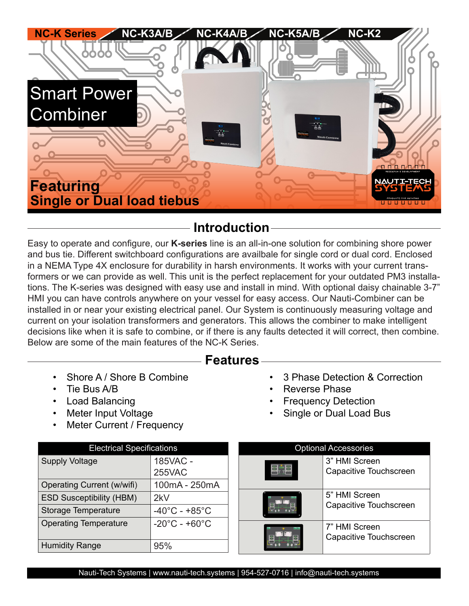

# **Introduction**

Easy to operate and configure, our **K-series** line is an all-in-one solution for combining shore power and bus tie. Different switchboard configurations are availbale for single cord or dual cord. Enclosed in a NEMA Type 4X enclosure for durability in harsh environments. It works with your current transformers or we can provide as well. This unit is the perfect replacement for your outdated PM3 installations. The K-series was designed with easy use and install in mind. With optional daisy chainable 3-7" HMI you can have controls anywhere on your vessel for easy access. Our Nauti-Combiner can be installed in or near your existing electrical panel. Our System is continuously measuring voltage and current on your isolation transformers and generators. This allows the combiner to make intelligent decisions like when it is safe to combine, or if there is any faults detected it will correct, then combine. Below are some of the main features of the NC-K Series.

# **Features**

- Shore A / Shore B Combine
- Tie Bus A/B
- Load Balancing
- Meter Input Voltage
- Meter Current / Frequency

## • 3 Phase Detection & Correction

- Reverse Phase
- **Frequency Detection**
- Single or Dual Load Bus

| <b>Electrical Specifications</b> |                                    |  | <b>Optional Accessories</b>                                                                         |                        |
|----------------------------------|------------------------------------|--|-----------------------------------------------------------------------------------------------------|------------------------|
| <b>Supply Voltage</b>            | 185VAC -<br><b>255VAC</b>          |  | 3" HMI Screen<br>5" HMI Screen<br>Capacitive Touchscreen<br>7" HMI Screen<br>Capacitive Touchscreen | Capacitive Touchscreen |
| Operating Current (w/wifi)       | 100mA - 250mA                      |  |                                                                                                     |                        |
| <b>ESD Susceptibility (HBM)</b>  | 2kV                                |  |                                                                                                     |                        |
| <b>Storage Temperature</b>       | $-40^{\circ}$ C - +85 $^{\circ}$ C |  |                                                                                                     |                        |
| <b>Operating Temperature</b>     | $-20^{\circ}$ C - +60 $^{\circ}$ C |  |                                                                                                     |                        |
| <b>Humidity Range</b>            | 95%                                |  |                                                                                                     |                        |